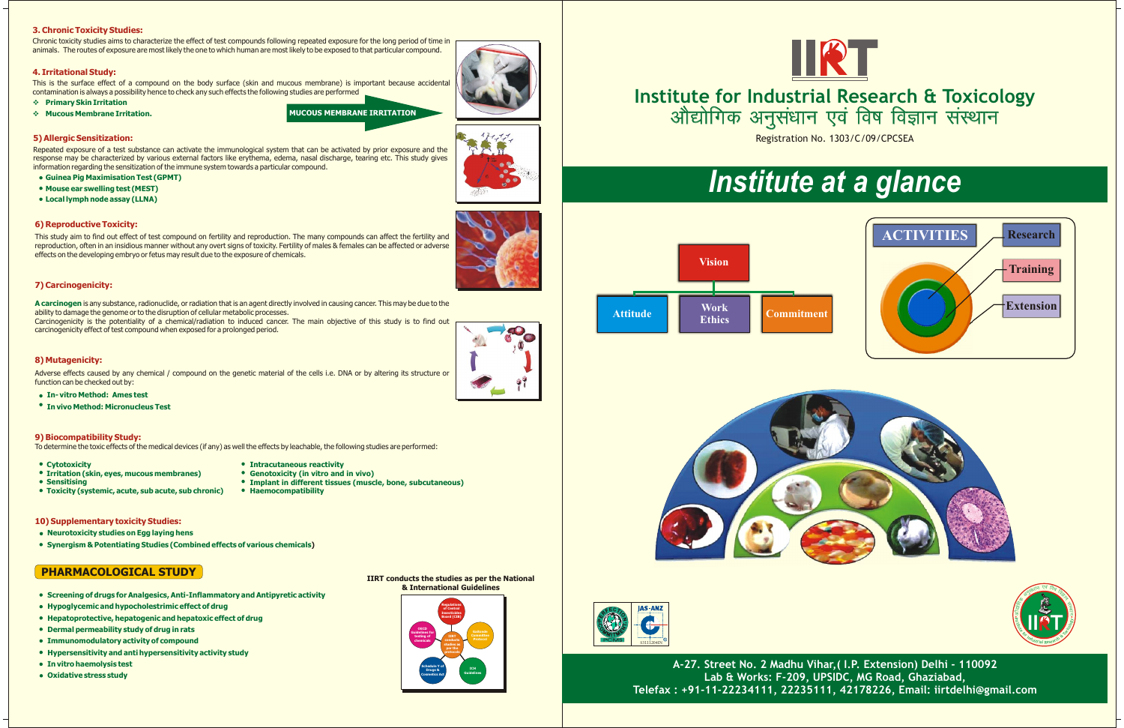## ओद्योगिक अनुसंधान एवं विष विज्ञान संस्थान **Institute for Industrial Research & Toxicology**

Registration No. 1303/C/09/CPCSEA











**A-27. Street No. 2 Madhu Vihar,( I.P. Extension) Delhi - 110092 Lab & Works: F-209, UPSIDC, MG Road, Ghaziabad, Telefax : +91-11-22234111, 22235111, 42178226, Email: iirtdelhi@gmail.com**

## **3. Chronic Toxicity Studies:**

## **4. Irritational Study:**

Chronic toxicity studies aims to characterize the effect of test compounds following repeated exposure for the long period of time in animals. The routes of exposure are most likely the one to which human are most likely to be exposed to that particular compound.

This is the surface effect of a compound on the body surface (skin and mucous membrane) is important because accidental contamination is always a possibility hence to check any such effects the following studies are performed

- **Primary Skin Irritation**
- **Mucous Membrane Irritation.**

















## **5) Allergic Sensitization:**

Repeated exposure of a test substance can activate the immunological system that can be activated by prior exposure and the response may be characterized by various external factors like erythema, edema, nasal discharge, tearing etc. This study gives information regarding the sensitization of the immune system towards a particular compound.

- **Guinea Pig Maximisation Test (GPMT)**
- **Mouse ear swelling test (MEST)**
- **Local lymph node assay (LLNA)**

## **6) Reproductive Toxicity:**

This study aim to find out effect of test compound on fertility and reproduction. The many compounds can affect the fertility and reproduction, often in an insidious manner without any overt signs of toxicity. Fertility of males & females can be affected or adverse effects on the developing embryo or fetus may result due to the exposure of chemicals.

## **7) Carcinogenicity:**

**A carcinogen** is any substance, radionuclide, or radiation that is an agent directly involved in causing cancer. This may be due to the ability to damage the genome or to the disruption of cellular metabolic processes.

Carcinogenicity is the potentiality of a chemical/radiation to induced cancer. The main objective of this study is to find out carcinogenicity effect of test compound when exposed for a prolonged period.

## **8) Mutagenicity:**

Adverse effects caused by any chemical / compound on the genetic material of the cells i.e. DNA or by altering its structure or function can be checked out by:

- **In- vitro Method: Ames test**
- **In vivo Method: Micronucleus Test**

### **9) Biocompatibility Study:**

To determine the toxic effects of the medical devices (if any) as well the effects by leachable, the following studies are performed:

- **Cytotoxicity**
- **Irritation (skin, eyes, mucous membranes)**
- **Sensitising Toxicity (systemic, acute, sub acute, sub chronic)**
- **Intracutaneous reactivity**
- **Genotoxicity (in vitro and in vivo)**
- **Implant in different tissues (muscle, bone, subcutaneous) Haemocompatibility**
- **10) Supplementary toxicity Studies:**
- **Neurotoxicity studies on Egg laying hens**
- **) Synergism & Potentiating Studies (Combined effects of various chemicals**

- **Screening of drugs for Analgesics, Anti-Inflammatory and Antipyretic activity**
- **Hypoglycemic and hypocholestrimic effect of drug**
- **Hepatoprotective, hepatogenic and hepatoxic effect of drug**
- **Dermal permeability study of drug in rats**
- **Immunomodulatory activity of compound**
- **Hypersensitivity and anti hypersensitivity activity study**
- **In vitro haemolysis test**
- **Oxidative stress study**

**IIRT conducts the studies as per the National & International Guidelines**

## **PHARMACOLOGICAL STUDY**



**ICH Guidelines** 

**Schedule Y of Drugs & Cosmetics Act** 



# *Institute at a glance*